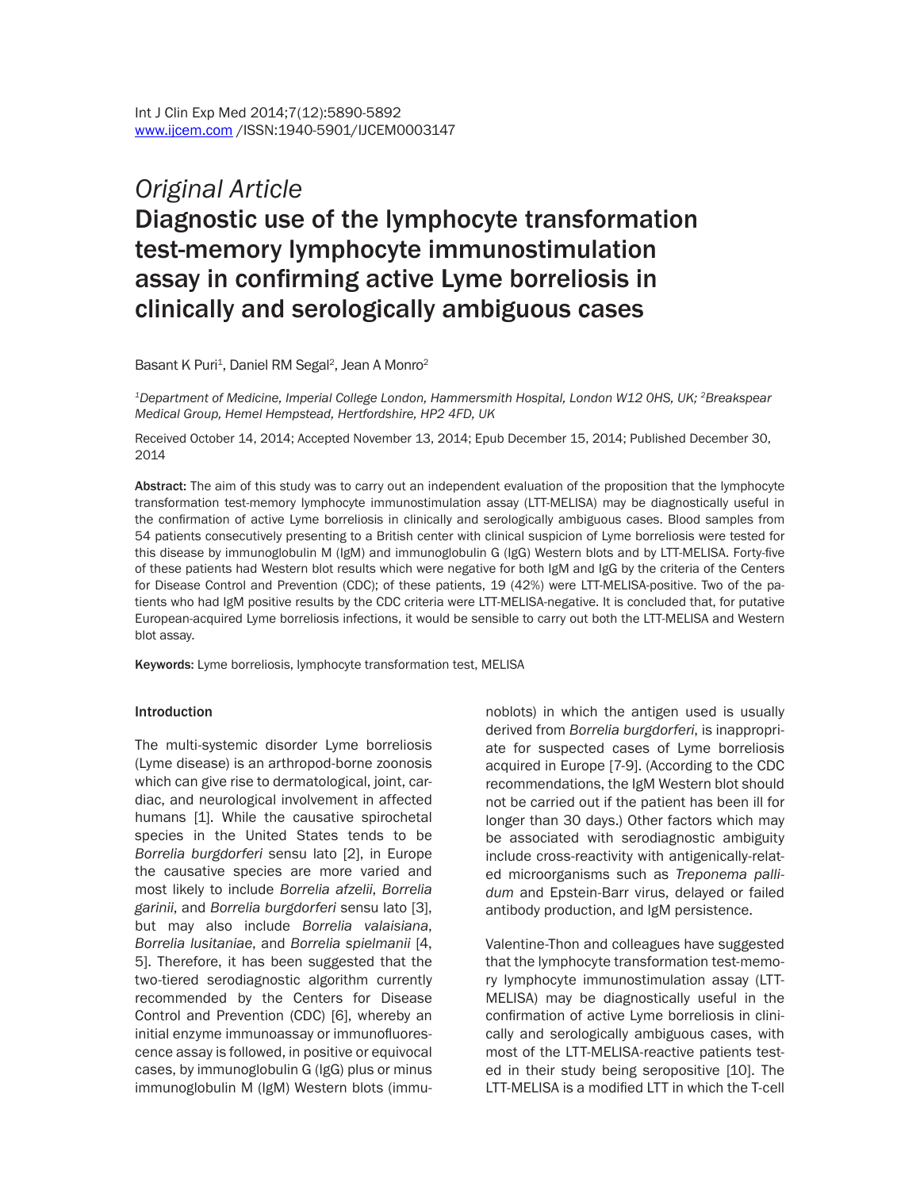# *Original Article* Diagnostic use of the lymphocyte transformation test-memory lymphocyte immunostimulation assay in confirming active Lyme borreliosis in clinically and serologically ambiguous cases

Basant K Puri<sup>1</sup>, Daniel RM Segal<sup>2</sup>, Jean A Monro<sup>2</sup>

*1Department of Medicine, Imperial College London, Hammersmith Hospital, London W12 0HS, UK; 2Breakspear Medical Group, Hemel Hempstead, Hertfordshire, HP2 4FD, UK*

Received October 14, 2014; Accepted November 13, 2014; Epub December 15, 2014; Published December 30, 2014

Abstract: The aim of this study was to carry out an independent evaluation of the proposition that the lymphocyte transformation test-memory lymphocyte immunostimulation assay (LTT-MELISA) may be diagnostically useful in the confirmation of active Lyme borreliosis in clinically and serologically ambiguous cases. Blood samples from 54 patients consecutively presenting to a British center with clinical suspicion of Lyme borreliosis were tested for this disease by immunoglobulin M (IgM) and immunoglobulin G (IgG) Western blots and by LTT-MELISA. Forty-five of these patients had Western blot results which were negative for both IgM and IgG by the criteria of the Centers for Disease Control and Prevention (CDC); of these patients, 19 (42%) were LTT-MELISA-positive. Two of the patients who had IgM positive results by the CDC criteria were LTT-MELISA-negative. It is concluded that, for putative European-acquired Lyme borreliosis infections, it would be sensible to carry out both the LTT-MELISA and Western blot assay.

Keywords: Lyme borreliosis, lymphocyte transformation test, MELISA

#### **Introduction**

The multi-systemic disorder Lyme borreliosis (Lyme disease) is an arthropod-borne zoonosis which can give rise to dermatological, joint, cardiac, and neurological involvement in affected humans [1]. While the causative spirochetal species in the United States tends to be *Borrelia burgdorferi* sensu lato [2], in Europe the causative species are more varied and most likely to include *Borrelia afzelii*, *Borrelia garinii*, and *Borrelia burgdorferi* sensu lato [3], but may also include *Borrelia valaisiana*, *Borrelia lusitaniae*, and *Borrelia spielmanii* [4, 5]. Therefore, it has been suggested that the two-tiered serodiagnostic algorithm currently recommended by the Centers for Disease Control and Prevention (CDC) [6], whereby an initial enzyme immunoassay or immunofluorescence assay is followed, in positive or equivocal cases, by immunoglobulin G (IgG) plus or minus immunoglobulin M (IgM) Western blots (immunoblots) in which the antigen used is usually derived from *Borrelia burgdorferi*, is inappropriate for suspected cases of Lyme borreliosis acquired in Europe [7-9]. (According to the CDC recommendations, the IgM Western blot should not be carried out if the patient has been ill for longer than 30 days.) Other factors which may be associated with serodiagnostic ambiguity include cross-reactivity with antigenically-related microorganisms such as *Treponema pallidum* and Epstein-Barr virus, delayed or failed antibody production, and IgM persistence.

Valentine-Thon and colleagues have suggested that the lymphocyte transformation test-memory lymphocyte immunostimulation assay (LTT-MELISA) may be diagnostically useful in the confirmation of active Lyme borreliosis in clinically and serologically ambiguous cases, with most of the LTT-MELISA-reactive patients tested in their study being seropositive [10]. The LTT-MELISA is a modified LTT in which the T-cell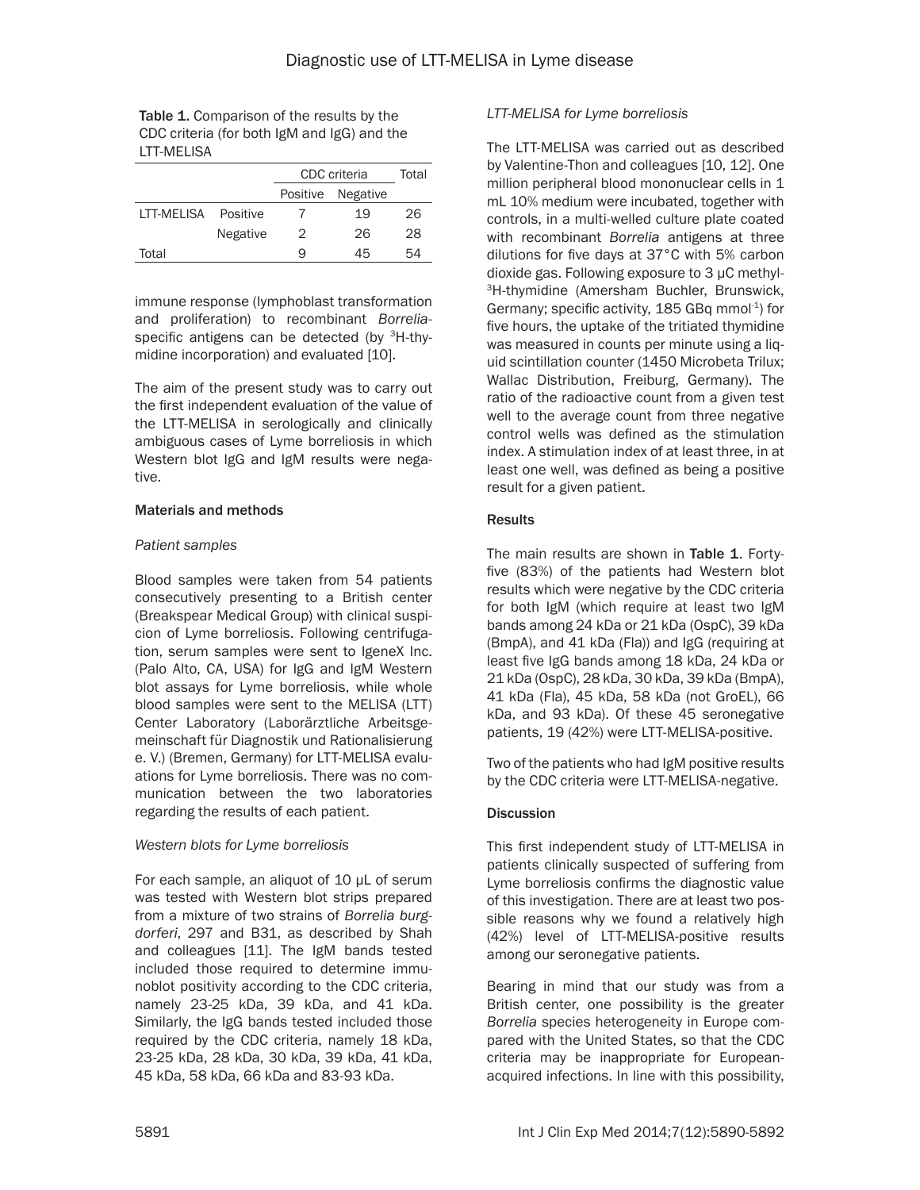| <b>Table 1.</b> Comparison of the results by the |
|--------------------------------------------------|
| CDC criteria (for both IgM and IgG) and the      |
| LTT-MELISA                                       |

|              |                 | CDC criteria |                 | Total |
|--------------|-----------------|--------------|-----------------|-------|
|              |                 | Positive     | <b>Negative</b> |       |
| I TT-MFI ISA | Positive        |              | 19              | 26    |
|              | <b>Negative</b> | 2            | 26              | 28    |
| Total        |                 | 9            | 45              | 54    |

immune response (lymphoblast transformation and proliferation) to recombinant *Borrelia*specific antigens can be detected (by <sup>3</sup>H-thymidine incorporation) and evaluated [10].

The aim of the present study was to carry out the first independent evaluation of the value of the LTT-MELISA in serologically and clinically ambiguous cases of Lyme borreliosis in which Western blot IgG and IgM results were negative.

#### Materials and methods

## *Patient samples*

Blood samples were taken from 54 patients consecutively presenting to a British center (Breakspear Medical Group) with clinical suspicion of Lyme borreliosis. Following centrifugation, serum samples were sent to IgeneX Inc. (Palo Alto, CA, USA) for IgG and IgM Western blot assays for Lyme borreliosis, while whole blood samples were sent to the MELISA (LTT) Center Laboratory (Laborärztliche Arbeitsgemeinschaft für Diagnostik und Rationalisierung e. V.) (Bremen, Germany) for LTT-MELISA evaluations for Lyme borreliosis. There was no communication between the two laboratories regarding the results of each patient.

## *Western blots for Lyme borreliosis*

For each sample, an aliquot of 10 µL of serum was tested with Western blot strips prepared from a mixture of two strains of *Borrelia burgdorferi*, 297 and B31, as described by Shah and colleagues [11]. The IgM bands tested included those required to determine immunoblot positivity according to the CDC criteria, namely 23-25 kDa, 39 kDa, and 41 kDa. Similarly, the IgG bands tested included those required by the CDC criteria, namely 18 kDa, 23-25 kDa, 28 kDa, 30 kDa, 39 kDa, 41 kDa, 45 kDa, 58 kDa, 66 kDa and 83-93 kDa.

## *LTT-MELISA for Lyme borreliosis*

The LTT-MELISA was carried out as described by Valentine-Thon and colleagues [10, 12]. One million peripheral blood mononuclear cells in 1 mL 10% medium were incubated, together with controls, in a multi-welled culture plate coated with recombinant *Borrelia* antigens at three dilutions for five days at 37°C with 5% carbon dioxide gas. Following exposure to 3 µC methyl-3H-thymidine (Amersham Buchler, Brunswick, Germany; specific activity, 185 GBq mmol-1) for five hours, the uptake of the tritiated thymidine was measured in counts per minute using a liquid scintillation counter (1450 Microbeta Trilux; Wallac Distribution, Freiburg, Germany). The ratio of the radioactive count from a given test well to the average count from three negative control wells was defined as the stimulation index. A stimulation index of at least three, in at least one well, was defined as being a positive result for a given patient.

## **Results**

The main results are shown in Table 1. Fortyfive (83%) of the patients had Western blot results which were negative by the CDC criteria for both IgM (which require at least two IgM bands among 24 kDa or 21 kDa (OspC), 39 kDa (BmpA), and 41 kDa (Fla)) and IgG (requiring at least five IgG bands among 18 kDa, 24 kDa or 21 kDa (OspC), 28 kDa, 30 kDa, 39 kDa (BmpA), 41 kDa (Fla), 45 kDa, 58 kDa (not GroEL), 66 kDa, and 93 kDa). Of these 45 seronegative patients, 19 (42%) were LTT-MELISA-positive.

Two of the patients who had IgM positive results by the CDC criteria were LTT-MELISA-negative.

# **Discussion**

This first independent study of LTT-MELISA in patients clinically suspected of suffering from Lyme borreliosis confirms the diagnostic value of this investigation. There are at least two possible reasons why we found a relatively high (42%) level of LTT-MELISA-positive results among our seronegative patients.

Bearing in mind that our study was from a British center, one possibility is the greater *Borrelia* species heterogeneity in Europe compared with the United States, so that the CDC criteria may be inappropriate for Europeanacquired infections. In line with this possibility,